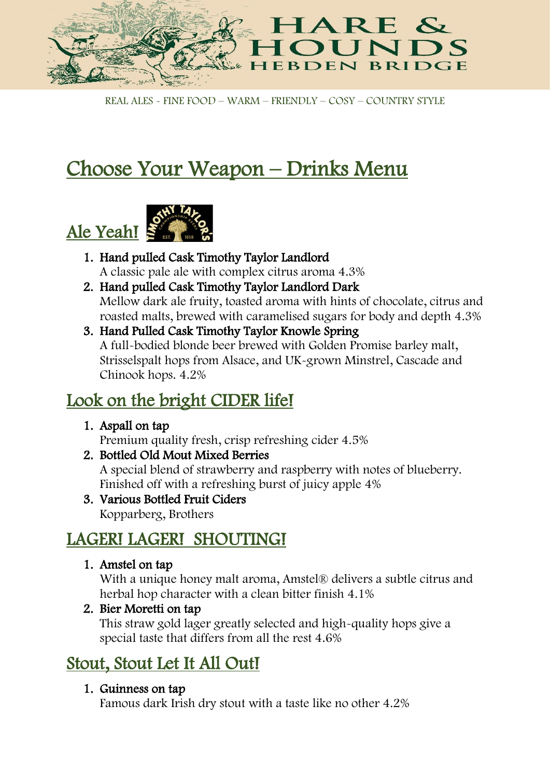

REAL ALES - FINE FOOD – WARM – FRIENDLY – COSY – COUNTRY STYLE

# Choose Your Weapon – Drinks Menu



- 1. Hand pulled Cask Timothy Taylor Landlord A classic pale ale with complex citrus aroma 4.3%
- 2. Hand pulled Cask Timothy Taylor Landlord Dark Mellow dark ale fruity, toasted aroma with hints of chocolate, citrus and roasted malts, brewed with caramelised sugars for body and depth 4.3%
- 3. Hand Pulled Cask Timothy Taylor Knowle Spring A full-bodied blonde beer brewed with Golden Promise barley malt, Strisselspalt hops from Alsace, and UK-grown Minstrel, Cascade and Chinook hops. 4.2%

## Look on the bright CIDER life!

1. Aspall on tap

Premium quality fresh, crisp refreshing cider 4.5%

2. Bottled Old Mout Mixed Berries

A special blend of strawberry and raspberry with notes of blueberry. Finished off with a refreshing burst of juicy apple 4%

3. Various Bottled Fruit Ciders Kopparberg, Brothers

# LAGER! LAGER! SHOUTING!

1. Amstel on tap

With a unique honey malt aroma, Amstel® delivers a subtle citrus and herbal hop character with a clean bitter finish 4.1%

2. Bier Moretti on tap

This straw gold lager greatly selected and high-quality hops give a special taste that differs from all the rest 4.6%

# Stout, Stout Let It All Out!

#### 1. Guinness on tap

Famous dark Irish dry stout with a taste like no other 4.2%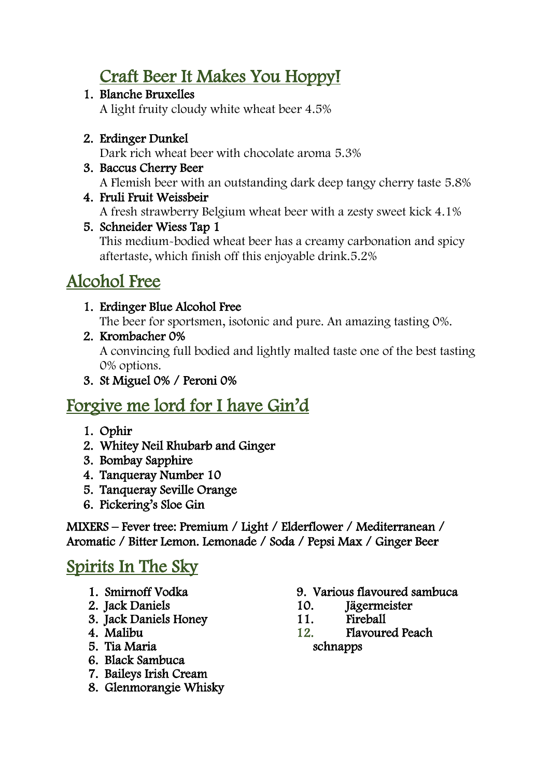## Craft Beer It Makes You Hoppy!

#### 1. Blanche Bruxelles

A light fruity cloudy white wheat beer 4.5%

#### 2. Erdinger Dunkel

Dark rich wheat beer with chocolate aroma 5.3%

#### 3. Baccus Cherry Beer

A Flemish beer with an outstanding dark deep tangy cherry taste 5.8%

4. Fruli Fruit Weissbeir A fresh strawberry Belgium wheat beer with a zesty sweet kick 4.1%

#### 5. Schneider Wiess Tap 1 This medium-bodied wheat beer has a creamy carbonation and spicy aftertaste, which finish off this enjoyable drink.5.2%

# Alcohol Free

#### 1. Erdinger Blue Alcohol Free

The beer for sportsmen, isotonic and pure. An amazing tasting 0%.

- 2. Krombacher 0% A convincing full bodied and lightly malted taste one of the best tasting 0% options.
- 3. St Miguel 0% / Peroni 0%

## Forgive me lord for I have Gin'd

- 1. Ophir
- 2. Whitey Neil Rhubarb and Ginger
- 3. Bombay Sapphire
- 4. Tanqueray Number 10
- 5. Tanqueray Seville Orange
- 6. Pickering's Sloe Gin

MIXERS – Fever tree: Premium / Light / Elderflower / Mediterranean / Aromatic / Bitter Lemon. Lemonade / Soda / Pepsi Max / Ginger Beer

### Spirits In The Sky

- 1. Smirnoff Vodka
- 2. Jack Daniels
- 3. Jack Daniels Honey
- 4. Malibu
- 5. Tia Maria
- 6. Black Sambuca
- 7. Baileys Irish Cream
- 8. Glenmorangie Whisky
- 9. Various flavoured sambuca
- 10. Jägermeister
- 11. Fireball
- 12. Flavoured Peach schnapps